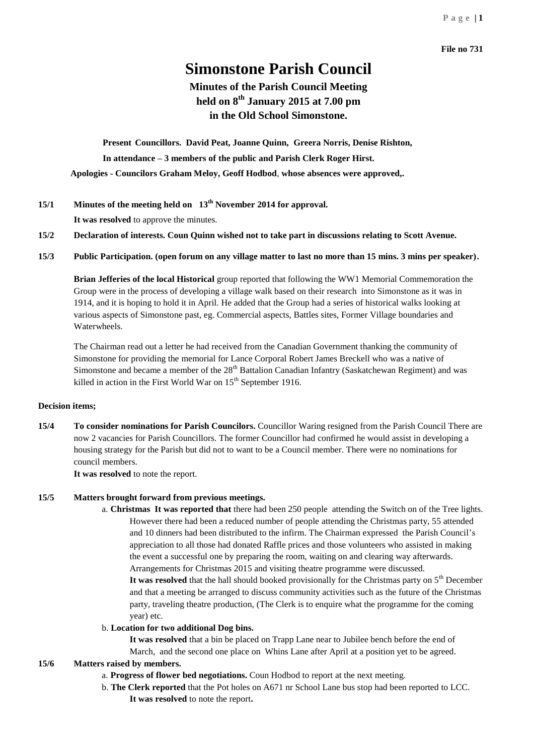#### **File no 731**

# **Simonstone Parish Council**

## **Minutes of the Parish Council Meeting held on 8 th January 2015 at 7.00 pm in the Old School Simonstone.**

**Present Councillors. David Peat, Joanne Quinn, Greera Norris, Denise Rishton, In attendance – 3 members of the public and Parish Clerk Roger Hirst. Apologies - Councilors Graham Meloy, Geoff Hodbod**, **whose absences were approved,.** 

**15/1 Minutes of the meeting held on 13th November 2014 for approval.**

**It was resolved** to approve the minutes.

- **15/2 Declaration of interests. Coun Quinn wished not to take part in discussions relating to Scott Avenue.**
- **15/3 Public Participation. (open forum on any village matter to last no more than 15 mins. 3 mins per speaker).**

**Brian Jefferies of the local Historical** group reported that following the WW1 Memorial Commemoration the Group were in the process of developing a village walk based on their research into Simonstone as it was in 1914, and it is hoping to hold it in April. He added that the Group had a series of historical walks looking at various aspects of Simonstone past, eg. Commercial aspects, Battles sites, Former Village boundaries and Waterwheels.

The Chairman read out a letter he had received from the Canadian Government thanking the community of Simonstone for providing the memorial for Lance Corporal Robert James Breckell who was a native of Simonstone and became a member of the 28<sup>th</sup> Battalion Canadian Infantry (Saskatchewan Regiment) and was killed in action in the First World War on  $15<sup>th</sup>$  September 1916.

#### **Decision items;**

**15/4 To consider nominations for Parish Councilors.** Councillor Waring resigned from the Parish Council There are now 2 vacancies for Parish Councillors. The former Councillor had confirmed he would assist in developing a housing strategy for the Parish but did not to want to be a Council member. There were no nominations for council members.

**It was resolved** to note the report.

#### **15/5 Matters brought forward from previous meetings.**

a. **Christmas It was reported that** there had been 250 people attending the Switch on of the Tree lights. However there had been a reduced number of people attending the Christmas party, 55 attended and 10 dinners had been distributed to the infirm. The Chairman expressed the Parish Council's appreciation to all those had donated Raffle prices and those volunteers who assisted in making the event a successful one by preparing the room, waiting on and clearing way afterwards. Arrangements for Christmas 2015 and visiting theatre programme were discussed.

It was resolved that the hall should booked provisionally for the Christmas party on 5<sup>th</sup> December and that a meeting be arranged to discuss community activities such as the future of the Christmas party, traveling theatre production, (The Clerk is to enquire what the programme for the coming year) etc.

#### b. **Location for two additional Dog bins.**

**It was resolved** that a bin be placed on Trapp Lane near to Jubilee bench before the end of

March, and the second one place on Whins Lane after April at a position yet to be agreed. **15/6 Matters raised by members.**

## a. **Progress of flower bed negotiations.** Coun Hodbod to report at the next meeting.

- b. **The Clerk reported** that the Pot holes on A671 nr School Lane bus stop had been reported to LCC.
	- **It was resolved** to note the report**.**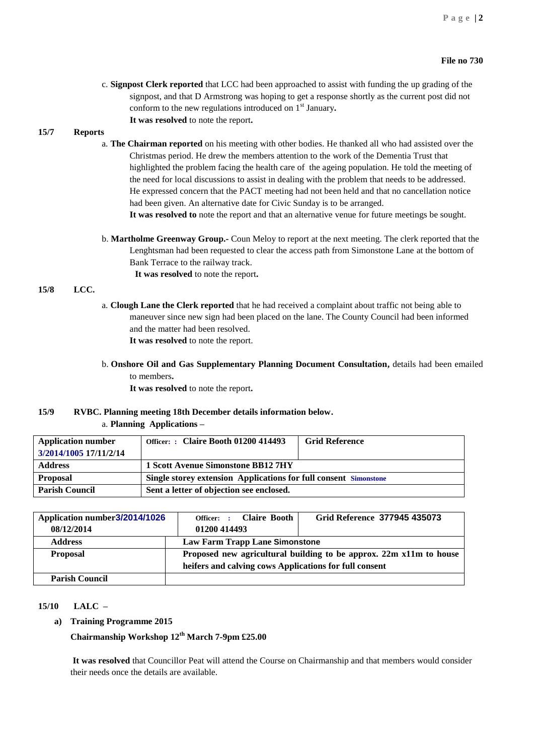c. **Signpost Clerk reported** that LCC had been approached to assist with funding the up grading of the signpost, and that D Armstrong was hoping to get a response shortly as the current post did not conform to the new regulations introduced on 1st January**. It was resolved** to note the report**.**

#### **15/7 Reports**

- a. **The Chairman reported** on his meeting with other bodies. He thanked all who had assisted over the Christmas period. He drew the members attention to the work of the Dementia Trust that highlighted the problem facing the health care of the ageing population. He told the meeting of the need for local discussions to assist in dealing with the problem that needs to be addressed. He expressed concern that the PACT meeting had not been held and that no cancellation notice had been given. An alternative date for Civic Sunday is to be arranged. **It was resolved to** note the report and that an alternative venue for future meetings be sought.
- b. **Martholme Greenway Group.-** Coun Meloy to report at the next meeting. The clerk reported that the Lenghtsman had been requested to clear the access path from Simonstone Lane at the bottom of Bank Terrace to the railway track. **It was resolved** to note the report**.**

#### **15/8 LCC.**

- a. **Clough Lane the Clerk reported** that he had received a complaint about traffic not being able to maneuver since new sign had been placed on the lane. The County Council had been informed and the matter had been resolved. **It was resolved** to note the report.
- b. **Onshore Oil and Gas Supplementary Planning Document Consultation,** details had been emailed to members**.**

 **It was resolved** to note the report**.**

#### **15/9 RVBC. Planning meeting 18th December details information below.**

a. **Planning Applications –**

| <b>Application number</b> | Officer: : Claire Booth 01200 414493                                    | <b>Grid Reference</b> |  |
|---------------------------|-------------------------------------------------------------------------|-----------------------|--|
| 3/2014/1005 17/11/2/14    |                                                                         |                       |  |
| <b>Address</b>            | 1 Scott Avenue Simonstone BB12 7HY                                      |                       |  |
| <b>Proposal</b>           | <b>Single storey extension Applications for full consent Simonstone</b> |                       |  |
| <b>Parish Council</b>     | Sent a letter of objection see enclosed.                                |                       |  |

| Application number 3/2014/1026 | Officer: : Claire Booth                                            | Grid Reference 377945 435073 |  |
|--------------------------------|--------------------------------------------------------------------|------------------------------|--|
| 08/12/2014                     | 01200 414493                                                       |                              |  |
| <b>Address</b>                 | <b>Law Farm Trapp Lane Simonstone</b>                              |                              |  |
| <b>Proposal</b>                | Proposed new agricultural building to be approx. 22m x11m to house |                              |  |
|                                | heifers and calving cows Applications for full consent             |                              |  |
| <b>Parish Council</b>          |                                                                    |                              |  |

#### **15/10 LALC –**

**a) Training Programme 2015**

**Chairmanship Workshop 12th March 7-9pm £25.00**

**It was resolved** that Councillor Peat will attend the Course on Chairmanship and that members would consider their needs once the details are available.